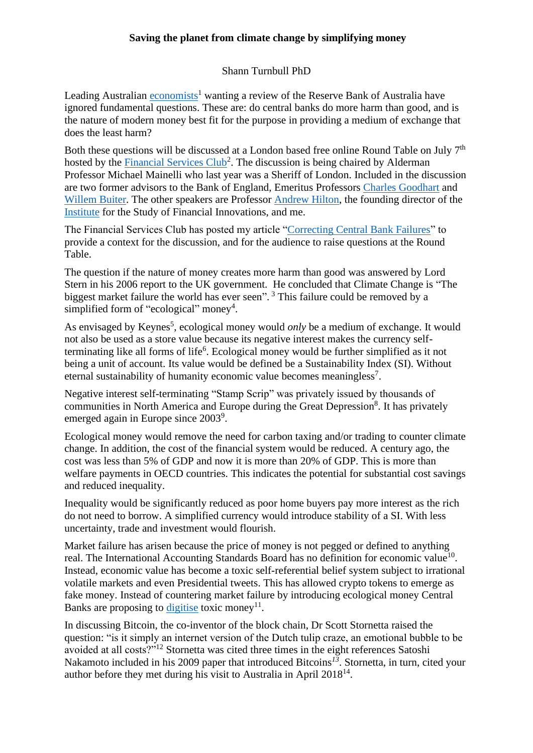## **Saving the planet from climate change by simplifying money**

## Shann Turnbull PhD

Leading Australian [economists](https://www.youtube.com/watch?v=SW4FPCG7Ft0)<sup>1</sup> wanting a review of the Reserve Bank of Australia have ignored fundamental questions. These are: do central banks do more harm than good, and is the nature of modern money best fit for the purpose in providing a medium of exchange that does the least harm?

Both these questions will be discussed at a London based free online Round Table on July 7<sup>th</sup> hosted by the **Financial Services Club**<sup>2</sup>. The discussion is being chaired by Alderman Professor Michael Mainelli who last year was a Sheriff of London. Included in the discussion are two former advisors to the Bank of England, Emeritus Professors [Charles Goodhart](https://voxeu.org/users/charlesaegoodhart0) and [Willem Buiter.](https://willembuiter.com/) The other speakers are Professor [Andrew Hilton,](https://www.libf.ac.uk/faculty/andrew-hilton) the founding director of the [Institute](https://www.csfi.org/) for the Study of Financial Innovations, and me.

The Financial Services Club has posted my article ["Correcting Central Bank Failures"](https://www.longfinance.net/news/pamphleteers/correcting-central-banks-failures/) to provide a context for the discussion, and for the audience to raise questions at the Round Table.

The question if the nature of money creates more harm than good was answered by Lord Stern in his 2006 report to the UK government. He concluded that Climate Change is "The biggest market failure the world has ever seen". <sup>3</sup> This failure could be removed by a simplified form of "ecological" money<sup>4</sup>.

As envisaged by Keynes<sup>5</sup>, ecological money would *only* be a medium of exchange. It would not also be used as a store value because its negative interest makes the currency selfterminating like all forms of life<sup>6</sup>. Ecological money would be further simplified as it not being a unit of account. Its value would be defined be a Sustainability Index (SI). Without eternal sustainability of humanity economic value becomes meaningless<sup>7</sup>.

Negative interest self-terminating "Stamp Scrip" was privately issued by thousands of communities in North America and Europe during the Great Depression<sup>8</sup>. It has privately emerged again in Europe since 2003<sup>9</sup>.

Ecological money would remove the need for carbon taxing and/or trading to counter climate change. In addition, the cost of the financial system would be reduced. A century ago, the cost was less than 5% of GDP and now it is more than 20% of GDP. This is more than welfare payments in OECD countries. This indicates the potential for substantial cost savings and reduced inequality.

Inequality would be significantly reduced as poor home buyers pay more interest as the rich do not need to borrow. A simplified currency would introduce stability of a SI. With less uncertainty, trade and investment would flourish.

Market failure has arisen because the price of money is not pegged or defined to anything real. The International Accounting Standards Board has no definition for economic value<sup>10</sup>. Instead, economic value has become a toxic self-referential belief system subject to irrational volatile markets and even Presidential tweets. This has allowed crypto tokens to emerge as fake money. Instead of countering market failure by introducing ecological money Central Banks are proposing to [digitise](https://www.bankofengland.co.uk/paper/2020/central-bank-digital-currency-opportunities-challenges-and-design-discussion-paper) toxic money<sup>11</sup>.

In discussing Bitcoin, the co-inventor of the block chain, Dr Scott Stornetta raised the question: "is it simply an internet version of the Dutch tulip craze, an emotional bubble to be avoided at all costs?"<sup>12</sup> Stornetta was cited three times in the eight references Satoshi Nakamoto included in his 2009 paper that introduced Bitcoins *<sup>13</sup>*. Stornetta, in turn, cited your author before they met during his visit to Australia in April  $2018^{14}$ .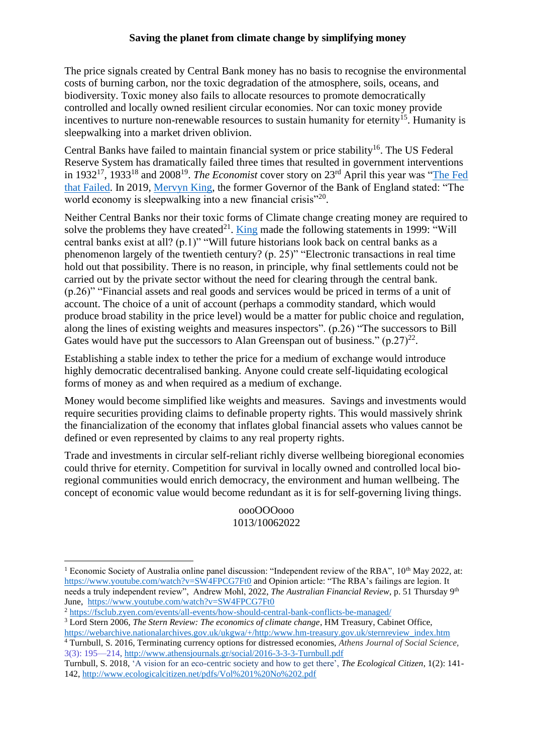## **Saving the planet from climate change by simplifying money**

The price signals created by Central Bank money has no basis to recognise the environmental costs of burning carbon, nor the toxic degradation of the atmosphere, soils, oceans, and biodiversity. Toxic money also fails to allocate resources to promote democratically controlled and locally owned resilient circular economies. Nor can toxic money provide incentives to nurture non-renewable resources to sustain humanity for eternity<sup>15</sup>. Humanity is sleepwalking into a market driven oblivion.

Central Banks have failed to maintain financial system or price stability<sup>16</sup>. The US Federal Reserve System has dramatically failed three times that resulted in government interventions in 1932<sup>17</sup>, 1933<sup>18</sup> and 2008<sup>19</sup>. *The Economist* cover story on 23<sup>rd</sup> April this year was "The Fed [that Failed.](https://www.economist.com/weeklyedition/2022-04-23) In 2019, [Mervyn King,](https://www.theguardian.com/business/2019/oct/20/world-sleepwalking-to-another-financial-crisis-says-mervyn-king) the former Governor of the Bank of England stated: "The world economy is sleepwalking into a new financial crisis"<sup>20</sup>.

Neither Central Banks nor their toxic forms of Climate change creating money are required to solve the problems they have created<sup>21</sup>. [King](https://www.bankofengland.co.uk/paper/2020/central-bank-digital-currency-opportunities-challenges-and-design-discussion-paper) made the following statements in 1999: "Will central banks exist at all? (p.1)" "Will future historians look back on central banks as a phenomenon largely of the twentieth century? (p. 25)" "Electronic transactions in real time hold out that possibility. There is no reason, in principle, why final settlements could not be carried out by the private sector without the need for clearing through the central bank. (p.26)" "Financial assets and real goods and services would be priced in terms of a unit of account. The choice of a unit of account (perhaps a commodity standard, which would produce broad stability in the price level) would be a matter for public choice and regulation, along the lines of existing weights and measures inspectors". (p.26) "The successors to Bill Gates would have put the successors to Alan Greenspan out of business."  $(p.27)^{22}$ .

Establishing a stable index to tether the price for a medium of exchange would introduce highly democratic decentralised banking. Anyone could create self-liquidating ecological forms of money as and when required as a medium of exchange.

Money would become simplified like weights and measures. Savings and investments would require securities providing claims to definable property rights. This would massively shrink the financialization of the economy that inflates global financial assets who values cannot be defined or even represented by claims to any real property rights.

Trade and investments in circular self-reliant richly diverse wellbeing bioregional economies could thrive for eternity. Competition for survival in locally owned and controlled local bioregional communities would enrich democracy, the environment and human wellbeing. The concept of economic value would become redundant as it is for self-governing living things.

## oooOOOooo 1013/10062022

<sup>3</sup> Lord Stern 2006, *The Stern Review: The economics of climate change*, HM Treasury, Cabinet Office, [https://webarchive.nationalarchives.gov.uk/ukgwa/+/http:/www.hm-treasury.gov.uk/sternreview\\_index.htm](https://webarchive.nationalarchives.gov.uk/ukgwa/+/http:/www.hm-treasury.gov.uk/sternreview_index.htm)

<sup>&</sup>lt;sup>1</sup> Economic Society of Australia online panel discussion: "Independent review of the RBA",  $10<sup>th</sup>$  May 2022, at: <https://www.youtube.com/watch?v=SW4FPCG7Ft0> and Opinion article: "The RBA's failings are legion. It needs a truly independent review", Andrew Mohl, 2022, *The Australian Financial Review*, p. 51 Thursday 9th June, <https://www.youtube.com/watch?v=SW4FPCG7Ft0>

<sup>2</sup> <https://fsclub.zyen.com/events/all-events/how-should-central-bank-conflicts-be-managed/>

<sup>4</sup> Turnbull, S. 2016, Terminating currency options for distressed economies, *Athens Journal of Social Science,*  3(3): 195—214,<http://www.athensjournals.gr/social/2016-3-3-3-Turnbull.pdf>

Turnbull, S. 2018, 'A vision for an eco-centric society and how to get there', *The Ecological Citizen*, 1(2): 141- 142,<http://www.ecologicalcitizen.net/pdfs/Vol%201%20No%202.pdf>